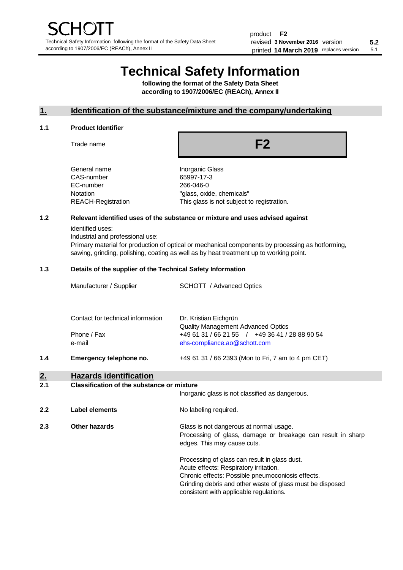# **Technical Safety Information**

**following the format of the Safety Data Sheet according to 1907/2006/EC (REACh), Annex II**

# **1. Identification of the substance/mixture and the company/undertaking**

#### **1.1 Product Identifier**

Trade name

**F2**

| General name       |
|--------------------|
| CAS-number         |
| EC-number          |
| Notation           |
| REACH-Registration |
|                    |

Inorganic Glass 65997-17-3 266-046-0 "glass, oxide, chemicals" This glass is not subject to registration.

# **1.2 Relevant identified uses of the substance or mixture and uses advised against**

identified uses:

Industrial and professional use:

Primary material for production of optical or mechanical components by processing as hotforming, sawing, grinding, polishing, coating as well as by heat treatment up to working point.

#### **1.3 Details of the supplier of the Technical Safety Information**

|     | Manufacturer / Supplier                    | <b>SCHOTT</b> / Advanced Optics                                                |
|-----|--------------------------------------------|--------------------------------------------------------------------------------|
|     | Contact for technical information          | Dr. Kristian Eichgrün<br><b>Quality Management Advanced Optics</b>             |
|     | Phone / Fax<br>e-mail                      | +49 61 31 / 66 21 55 / +49 36 41 / 28 88 90 54<br>ehs-compliance.ao@schott.com |
| 1.4 | Emergency telephone no.                    | +49 61 31 / 66 2393 (Mon to Fri, 7 am to 4 pm CET)                             |
| 2.  | <b>Hazards identification</b>              |                                                                                |
| 2.1 | Classification of the substance or mixture |                                                                                |

|     |                | Inorganic glass is not classified as dangerous.                                                                                                                                                                                                      |
|-----|----------------|------------------------------------------------------------------------------------------------------------------------------------------------------------------------------------------------------------------------------------------------------|
| 2.2 | Label elements | No labeling required.                                                                                                                                                                                                                                |
| 2.3 | Other hazards  | Glass is not dangerous at normal usage.<br>Processing of glass, damage or breakage can result in sharp<br>edges. This may cause cuts.                                                                                                                |
|     |                | Processing of glass can result in glass dust.<br>Acute effects: Respiratory irritation.<br>Chronic effects: Possible pneumoconiosis effects.<br>Grinding debris and other waste of glass must be disposed<br>consistent with applicable regulations. |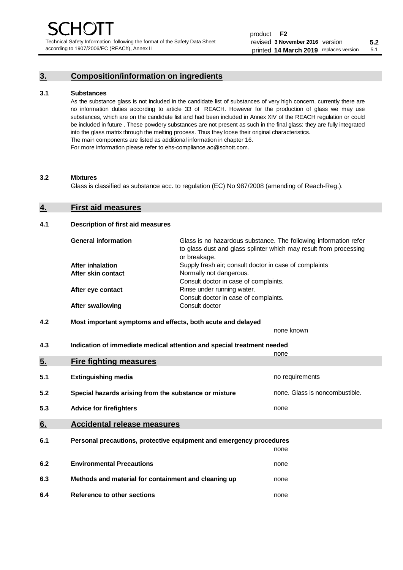Technical Safety Information following the format of the Safety Data Sheet according to 1907/2006/EC (REACh), Annex II

# **3. Composition/information on ingredients**

### **3.1 Substances**

As the substance glass is not included in the candidate list of substances of very high concern, currently there are no information duties according to article 33 of REACH. However for the production of glass we may use substances, which are on the candidate list and had been included in Annex XIV of the REACH regulation or could be included in future . These powdery substances are not present as such in the final glass; they are fully integrated into the glass matrix through the melting process. Thus they loose their original characteristics. The main components are listed as additional information in chapter 16. For more information please refer to ehs-compliance.ao@schott.com.

#### **3.2 Mixtures**

Glass is classified as substance acc. to regulation (EC) No 987/2008 (amending of Reach-Reg.).

# **4. First aid measures**

## **4.1 Description of first aid measures**

| <b>General information</b> | Glass is no hazardous substance. The following information refer<br>to glass dust and glass splinter which may result from processing<br>or breakage. |
|----------------------------|-------------------------------------------------------------------------------------------------------------------------------------------------------|
| <b>After inhalation</b>    | Supply fresh air; consult doctor in case of complaints                                                                                                |
| After skin contact         | Normally not dangerous.                                                                                                                               |
|                            | Consult doctor in case of complaints.                                                                                                                 |
| After eye contact          | Rinse under running water.                                                                                                                            |
|                            | Consult doctor in case of complaints.                                                                                                                 |
| <b>After swallowing</b>    | Consult doctor                                                                                                                                        |

# **4.2 Most important symptoms and effects, both acute and delayed**

none known **4.3 Indication of immediate medical attention and special treatment needed** 

|     |                                                                     | none                           |
|-----|---------------------------------------------------------------------|--------------------------------|
| 5.  | <b>Fire fighting measures</b>                                       |                                |
| 5.1 | <b>Extinguishing media</b>                                          | no requirements                |
| 5.2 | Special hazards arising from the substance or mixture               | none. Glass is noncombustible. |
| 5.3 | <b>Advice for firefighters</b>                                      | none                           |
| 6.  | <b>Accidental release measures</b>                                  |                                |
| 6.1 | Personal precautions, protective equipment and emergency procedures |                                |
|     |                                                                     | none                           |
| 6.2 | <b>Environmental Precautions</b>                                    | none                           |
| 6.3 | Methods and material for containment and cleaning up                | none                           |
| 6.4 | Reference to other sections                                         | none                           |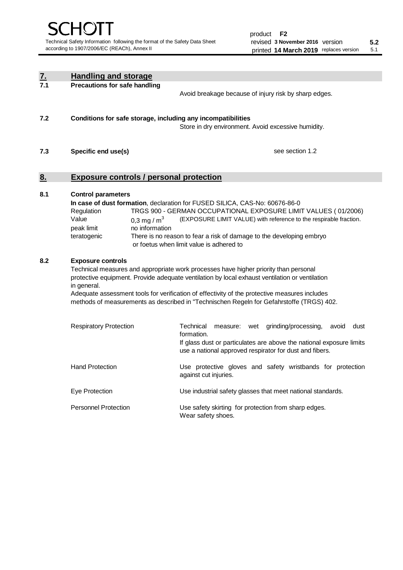| <u>7.</u> | <b>Handling and storage</b>                                                                                                                                                                                                                                                                                                                                                                                                    |                                                                                                                                                                                                                                                                                                                                        |  |  |  |  |
|-----------|--------------------------------------------------------------------------------------------------------------------------------------------------------------------------------------------------------------------------------------------------------------------------------------------------------------------------------------------------------------------------------------------------------------------------------|----------------------------------------------------------------------------------------------------------------------------------------------------------------------------------------------------------------------------------------------------------------------------------------------------------------------------------------|--|--|--|--|
| 7.1       | <b>Precautions for safe handling</b>                                                                                                                                                                                                                                                                                                                                                                                           | Avoid breakage because of injury risk by sharp edges.                                                                                                                                                                                                                                                                                  |  |  |  |  |
| 7.2       | Conditions for safe storage, including any incompatibilities                                                                                                                                                                                                                                                                                                                                                                   | Store in dry environment. Avoid excessive humidity.                                                                                                                                                                                                                                                                                    |  |  |  |  |
| 7.3       | Specific end use(s)                                                                                                                                                                                                                                                                                                                                                                                                            | see section 1.2                                                                                                                                                                                                                                                                                                                        |  |  |  |  |
| 8.        |                                                                                                                                                                                                                                                                                                                                                                                                                                | <b>Exposure controls / personal protection</b>                                                                                                                                                                                                                                                                                         |  |  |  |  |
| 8.1       | <b>Control parameters</b><br>Regulation<br>Value<br>0,3 mg / $m3$<br>no information<br>peak limit<br>teratogenic                                                                                                                                                                                                                                                                                                               | In case of dust formation, declaration for FUSED SILICA, CAS-No: 60676-86-0<br>TRGS 900 - GERMAN OCCUPATIONAL EXPOSURE LIMIT VALUES (01/2006)<br>(EXPOSURE LIMIT VALUE) with reference to the respirable fraction.<br>There is no reason to fear a risk of damage to the developing embryo<br>or foetus when limit value is adhered to |  |  |  |  |
| 8.2       | <b>Exposure controls</b><br>Technical measures and appropriate work processes have higher priority than personal<br>protective equipment. Provide adequate ventilation by local exhaust ventilation or ventilation<br>in general.<br>Adequate assessment tools for verification of effectivity of the protective measures includes<br>methods of measurements as described in "Technischen Regeln for Gefahrstoffe (TRGS) 402. |                                                                                                                                                                                                                                                                                                                                        |  |  |  |  |
|           | <b>Respiratory Protection</b>                                                                                                                                                                                                                                                                                                                                                                                                  | Technical<br>grinding/processing,<br>dust<br>measure: wet<br>avoid<br>formation.<br>If glass dust or particulates are above the national exposure limits<br>use a national approved respirator for dust and fibers.                                                                                                                    |  |  |  |  |
|           | <b>Hand Protection</b>                                                                                                                                                                                                                                                                                                                                                                                                         | Use protective gloves and safety wristbands for protection<br>against cut injuries.                                                                                                                                                                                                                                                    |  |  |  |  |
|           | Eye Protection                                                                                                                                                                                                                                                                                                                                                                                                                 | Use industrial safety glasses that meet national standards.                                                                                                                                                                                                                                                                            |  |  |  |  |
|           | <b>Personnel Protection</b>                                                                                                                                                                                                                                                                                                                                                                                                    | Use safety skirting for protection from sharp edges.<br>Wear safety shoes.                                                                                                                                                                                                                                                             |  |  |  |  |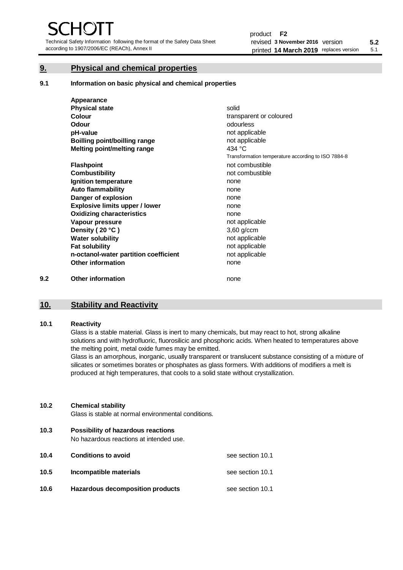Technical Safety Information following the format of the Safety Data Sheet according to 1907/2006/EC (REACh), Annex II

# **9. Physical and chemical properties**

**9.1 Information on basic physical and chemical properties**

|     | Appearance                            |                                                    |
|-----|---------------------------------------|----------------------------------------------------|
|     | <b>Physical state</b>                 | solid                                              |
|     | Colour                                | transparent or coloured                            |
|     | Odour                                 | odourless                                          |
|     | pH-value                              | not applicable                                     |
|     | <b>Boilling point/boilling range</b>  | not applicable                                     |
|     | Melting point/melting range           | 434 $\degree$ C                                    |
|     |                                       | Transformation temperature according to ISO 7884-8 |
|     | <b>Flashpoint</b>                     | not combustible                                    |
|     | <b>Combustibility</b>                 | not combustible                                    |
|     | Ignition temperature                  | none                                               |
|     | <b>Auto flammability</b>              | none                                               |
|     | Danger of explosion                   | none                                               |
|     | <b>Explosive limits upper / lower</b> | none                                               |
|     | <b>Oxidizing characteristics</b>      | none                                               |
|     | Vapour pressure                       | not applicable                                     |
|     | Density (20 °C)                       | $3,60$ g/ccm                                       |
|     | <b>Water solubility</b>               | not applicable                                     |
|     | <b>Fat solubility</b>                 | not applicable                                     |
|     | n-octanol-water partition coefficient | not applicable                                     |
|     | <b>Other information</b>              | none                                               |
| 9.2 | <b>Other information</b>              | none                                               |

# **10. Stability and Reactivity**

# **10.1 Reactivity**

Glass is a stable material. Glass is inert to many chemicals, but may react to hot, strong alkaline solutions and with hydrofluoric, fluorosilicic and phosphoric acids. When heated to temperatures above the melting point, metal oxide fumes may be emitted.

Glass is an amorphous, inorganic, usually transparent or translucent substance consisting of a mixture of silicates or sometimes borates or phosphates as glass formers. With additions of modifiers a melt is produced at high temperatures, that cools to a solid state without crystallization.

# **10.2 Chemical stability**

Glass is stable at normal environmental conditions.

**10.3 Possibility of hazardous reactions** 

No hazardous reactions at intended use.

| 10.4 | <b>Conditions to avoid</b>       | see section 10.1 |
|------|----------------------------------|------------------|
| 10.5 | Incompatible materials           | see section 10.1 |
| 10.6 | Hazardous decomposition products | see section 10.1 |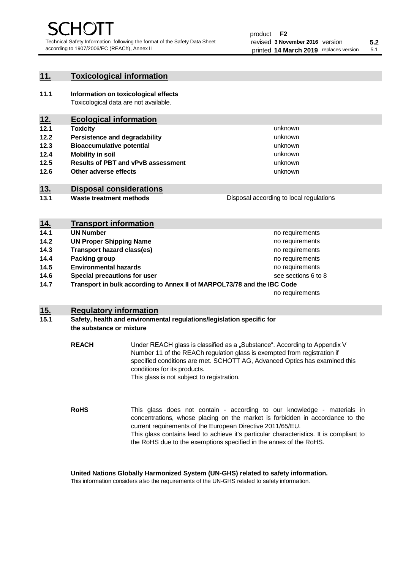unknown unknown unknown

unknown unknown unknown

Disposal according to local regulations

# **11. Toxicological information**

**11.1 Information on toxicological effects** Toxicological data are not available.

# **12. Ecological information**

- **12.1 Toxicity**
- **12.2 Persistence and degradability**
- **12.3 Bioaccumulative potential**
- **12.4 Mobility in soil**
- **12.5 Results of PBT and vPvB assessment**
- **12.6 Other adverse effects**

# **13. Disposal considerations**

**13.1 Waste treatment methods**

| <u>14.</u> | <b>Transport information</b>                                            |                     |
|------------|-------------------------------------------------------------------------|---------------------|
| 14.1       | <b>UN Number</b>                                                        | no requirements     |
| 14.2       | <b>UN Proper Shipping Name</b>                                          | no requirements     |
| 14.3       | <b>Transport hazard class(es)</b>                                       | no requirements     |
| 14.4       | Packing group                                                           | no requirements     |
| 14.5       | <b>Environmental hazards</b>                                            | no requirements     |
| 14.6       | Special precautions for user                                            | see sections 6 to 8 |
| 14.7       | Transport in bulk according to Annex II of MARPOL73/78 and the IBC Code |                     |
|            |                                                                         | no requirements     |

# **15. Regulatory information**

# **15.1 Safety, health and environmental regulations/legislation specific for the substance or mixture**

**REACH** Under REACH glass is classified as a "Substance". According to Appendix V Number 11 of the REACh regulation glass is exempted from registration if specified conditions are met. SCHOTT AG, Advanced Optics has examined this conditions for its products. This glass is not subject to registration.

**RoHS** This glass does not contain - according to our knowledge - materials in concentrations, whose placing on the market is forbidden in accordance to the current requirements of the European Directive 2011/65/EU. This glass contains lead to achieve it's particular characteristics. It is compliant to the RoHS due to the exemptions specified in the annex of the RoHS.

**United Nations Globally Harmonized System (UN-GHS) related to safety information.**

This information considers also the requirements of the UN-GHS related to safety information.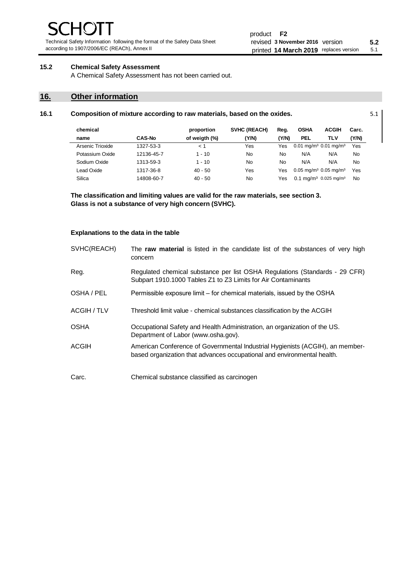Technical Safety Information following the format of the Safety Data Sheet according to 1907/2006/EC (REACh), Annex II

# **15.2 Chemical Safety Assessment**

A Chemical Safety Assessment has not been carried out.

# **16. Other information**

| chemical         |               | proportion    | <b>SVHC (REACH)</b> | Reg.  | <b>OSHA</b>                                       | <b>ACGIH</b>                                 | Carc.     |
|------------------|---------------|---------------|---------------------|-------|---------------------------------------------------|----------------------------------------------|-----------|
| name             | <b>CAS-No</b> | of weigth (%) | (Y/N)               | (Y/N) | <b>PEL</b>                                        | TLV                                          | (Y/N)     |
| Arsenic Trioxide | 1327-53-3     | 1 >           | Yes                 | Yes   | $0.01$ mg/m <sup>3</sup> $0.01$ mg/m <sup>3</sup> |                                              | Yes       |
| Potassium Oxide  | 12136-45-7    | $1 - 10$      | No                  | No    | N/A                                               | N/A                                          | No        |
| Sodium Oxide     | 1313-59-3     | $1 - 10$      | No                  | No    | N/A                                               | N/A                                          | No        |
| Lead Oxide       | 1317-36-8     | $40 - 50$     | Yes                 | Yes   | $0.05$ mg/m <sup>3</sup> 0.05 mg/m <sup>3</sup>   |                                              | Yes       |
| Silica           | 14808-60-7    | $40 - 50$     | No                  | Yes   |                                                   | $0.1 \text{ ma/m}^3$ 0.025 mg/m <sup>3</sup> | <b>No</b> |

**16.1 Composition of mixture according to raw materials, based on the oxides.** 5.1

**The classification and limiting values are valid for the raw materials, see section 3. Glass is not a substance of very high concern (SVHC).**

### **Explanations to the data in the table**

| SVHC(REACH) | The raw material is listed in the candidate list of the substances of very high<br>concern                                                               |
|-------------|----------------------------------------------------------------------------------------------------------------------------------------------------------|
| Reg.        | Regulated chemical substance per list OSHA Regulations (Standards - 29 CFR)<br>Subpart 1910.1000 Tables Z1 to Z3 Limits for Air Contaminants             |
| OSHA / PEL  | Permissible exposure limit – for chemical materials, issued by the OSHA                                                                                  |
| ACGIH / TLV | Threshold limit value - chemical substances classification by the ACGIH                                                                                  |
| <b>OSHA</b> | Occupational Safety and Health Administration, an organization of the US.<br>Department of Labor (www.osha.gov).                                         |
| ACGIH       | American Conference of Governmental Industrial Hygienists (ACGIH), an member-<br>based organization that advances occupational and environmental health. |
| Carc.       | Chemical substance classified as carcinogen                                                                                                              |